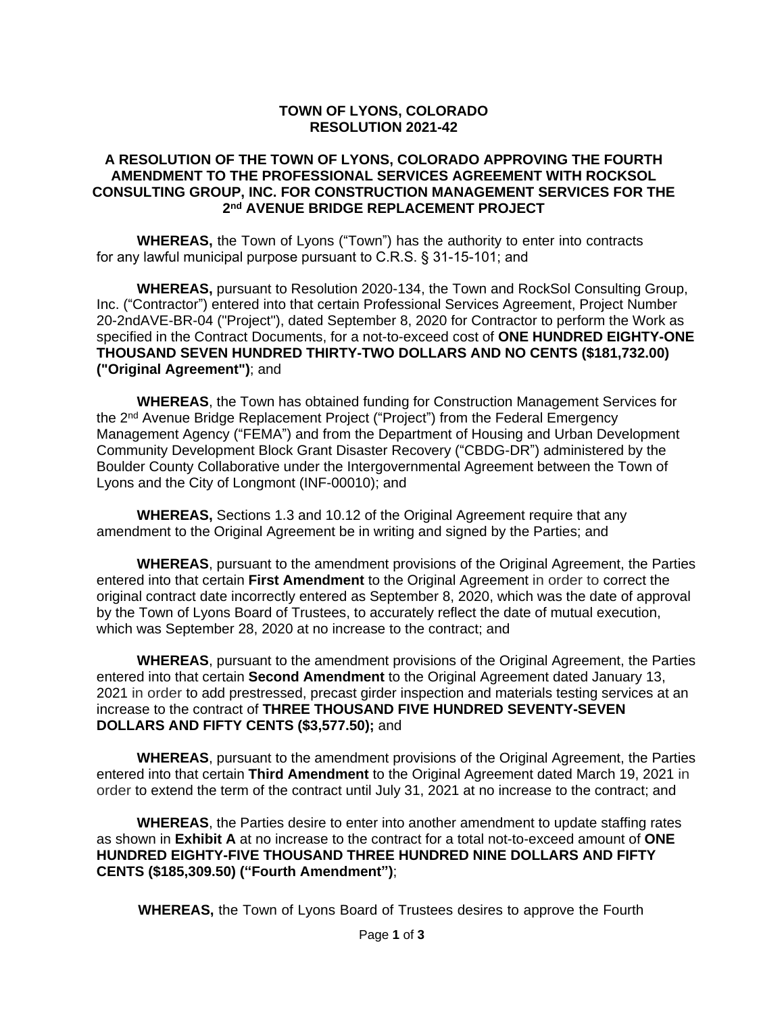#### **TOWN OF LYONS, COLORADO RESOLUTION 2021-42**

#### **A RESOLUTION OF THE TOWN OF LYONS, COLORADO APPROVING THE FOURTH AMENDMENT TO THE PROFESSIONAL SERVICES AGREEMENT WITH ROCKSOL CONSULTING GROUP, INC. FOR CONSTRUCTION MANAGEMENT SERVICES FOR THE 2 nd AVENUE BRIDGE REPLACEMENT PROJECT**

**WHEREAS,** the Town of Lyons ("Town") has the authority to enter into contracts for any lawful municipal purpose pursuant to C.R.S. § 31-15-101; and

**WHEREAS,** pursuant to Resolution 2020-134, the Town and RockSol Consulting Group, Inc. ("Contractor") entered into that certain Professional Services Agreement, Project Number 20-2ndAVE-BR-04 ("Project"), dated September 8, 2020 for Contractor to perform the Work as specified in the Contract Documents, for a not-to-exceed cost of **ONE HUNDRED EIGHTY-ONE THOUSAND SEVEN HUNDRED THIRTY-TWO DOLLARS AND NO CENTS (\$181,732.00) ("Original Agreement")**; and

**WHEREAS**, the Town has obtained funding for Construction Management Services for the 2<sup>nd</sup> Avenue Bridge Replacement Project ("Project") from the Federal Emergency Management Agency ("FEMA") and from the Department of Housing and Urban Development Community Development Block Grant Disaster Recovery ("CBDG-DR") administered by the Boulder County Collaborative under the Intergovernmental Agreement between the Town of Lyons and the City of Longmont (INF-00010); and

**WHEREAS,** Sections 1.3 and 10.12 of the Original Agreement require that any amendment to the Original Agreement be in writing and signed by the Parties; and

**WHEREAS**, pursuant to the amendment provisions of the Original Agreement, the Parties entered into that certain **First Amendment** to the Original Agreement in order to correct the original contract date incorrectly entered as September 8, 2020, which was the date of approval by the Town of Lyons Board of Trustees, to accurately reflect the date of mutual execution, which was September 28, 2020 at no increase to the contract; and

**WHEREAS**, pursuant to the amendment provisions of the Original Agreement, the Parties entered into that certain **Second Amendment** to the Original Agreement dated January 13, 2021 in order to add prestressed, precast girder inspection and materials testing services at an increase to the contract of **THREE THOUSAND FIVE HUNDRED SEVENTY-SEVEN DOLLARS AND FIFTY CENTS (\$3,577.50);** and

**WHEREAS**, pursuant to the amendment provisions of the Original Agreement, the Parties entered into that certain **Third Amendment** to the Original Agreement dated March 19, 2021 in order to extend the term of the contract until July 31, 2021 at no increase to the contract; and

**WHEREAS**, the Parties desire to enter into another amendment to update staffing rates as shown in **Exhibit A** at no increase to the contract for a total not-to-exceed amount of **ONE HUNDRED EIGHTY-FIVE THOUSAND THREE HUNDRED NINE DOLLARS AND FIFTY CENTS (\$185,309.50) ("Fourth Amendment")**;

**WHEREAS,** the Town of Lyons Board of Trustees desires to approve the Fourth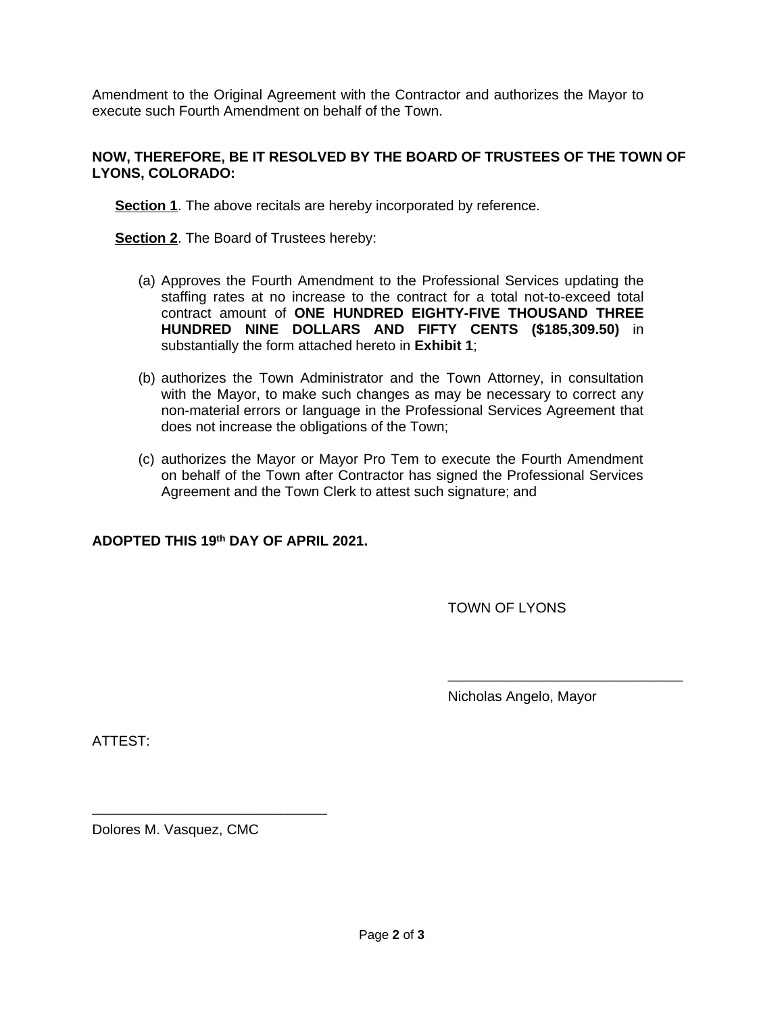Amendment to the Original Agreement with the Contractor and authorizes the Mayor to execute such Fourth Amendment on behalf of the Town.

## **NOW, THEREFORE, BE IT RESOLVED BY THE BOARD OF TRUSTEES OF THE TOWN OF LYONS, COLORADO:**

**Section 1**. The above recitals are hereby incorporated by reference.

**Section 2**. The Board of Trustees hereby:

- (a) Approves the Fourth Amendment to the Professional Services updating the staffing rates at no increase to the contract for a total not-to-exceed total contract amount of **ONE HUNDRED EIGHTY-FIVE THOUSAND THREE HUNDRED NINE DOLLARS AND FIFTY CENTS (\$185,309.50)** in substantially the form attached hereto in **Exhibit 1**;
- (b) authorizes the Town Administrator and the Town Attorney, in consultation with the Mayor, to make such changes as may be necessary to correct any non-material errors or language in the Professional Services Agreement that does not increase the obligations of the Town;
- (c) authorizes the Mayor or Mayor Pro Tem to execute the Fourth Amendment on behalf of the Town after Contractor has signed the Professional Services Agreement and the Town Clerk to attest such signature; and

## **ADOPTED THIS 19th DAY OF APRIL 2021.**

TOWN OF LYONS

Nicholas Angelo, Mayor

\_\_\_\_\_\_\_\_\_\_\_\_\_\_\_\_\_\_\_\_\_\_\_\_\_\_\_\_\_\_

ATTEST:

Dolores M. Vasquez, CMC

\_\_\_\_\_\_\_\_\_\_\_\_\_\_\_\_\_\_\_\_\_\_\_\_\_\_\_\_\_\_